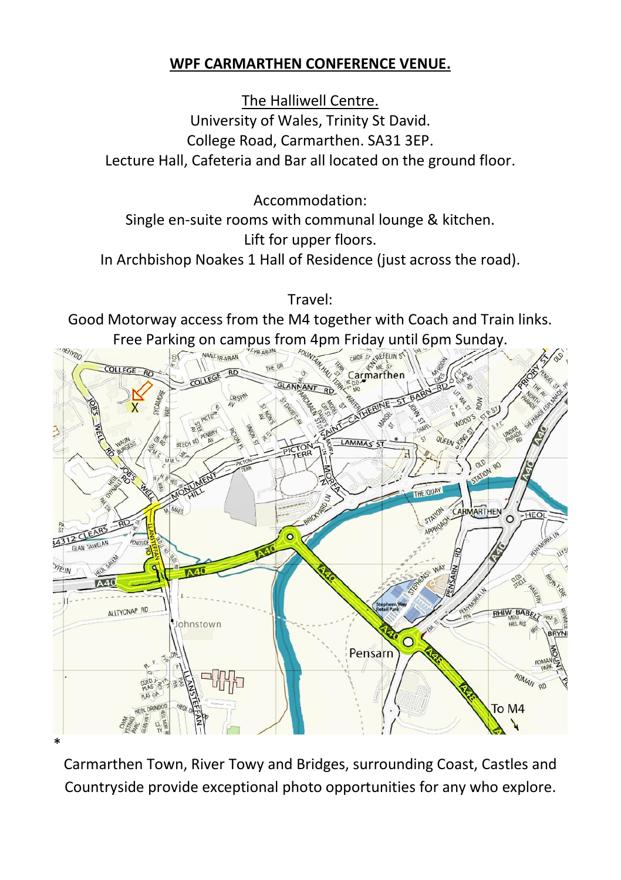## **WPF CARMARTHEN CONFERENCE VENUE.**

The Halliwell Centre. University of Wales, Trinity St David. College Road, Carmarthen. SA31 3EP. Lecture Hall, Cafeteria and Bar all located on the ground floor.

Accommodation:

Single en-suite rooms with communal lounge & kitchen. Lift for upper floors. In Archbishop Noakes 1 Hall of Residence (just across the road).

Travel:

Good Motorway access from the M4 together with Coach and Train links. Free Parking on campus from 4pm Friday until 6pm Sunday.



Carmarthen Town, River Towy and Bridges, surrounding Coast, Castles and Countryside provide exceptional photo opportunities for any who explore.